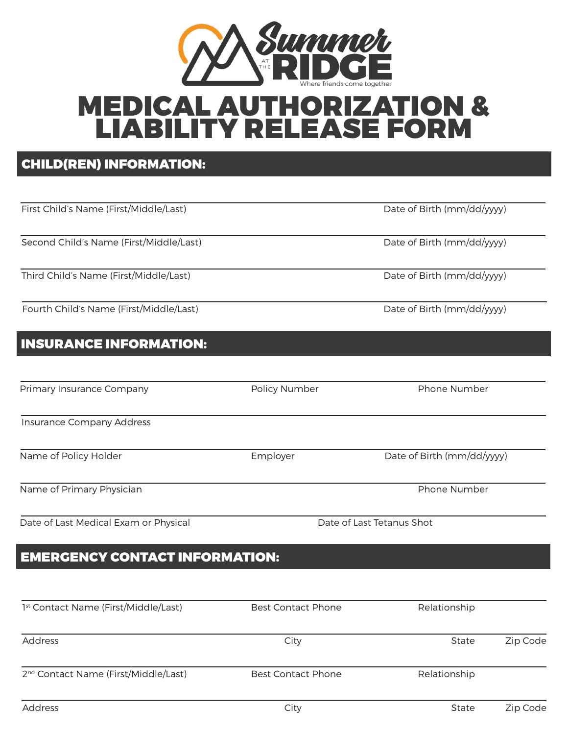

# MEDICAL AUTHORIZATION & LIABILITY RELEASE FORM

### CHILD(REN) INFORMATION:

| First Child's Name (First/Middle/Last)  |               | Date of Birth (mm/dd/yyyy) |  |  |
|-----------------------------------------|---------------|----------------------------|--|--|
|                                         |               |                            |  |  |
| Second Child's Name (First/Middle/Last) |               | Date of Birth (mm/dd/yyyy) |  |  |
|                                         |               |                            |  |  |
| Third Child's Name (First/Middle/Last)  |               | Date of Birth (mm/dd/yyyy) |  |  |
| Fourth Child's Name (First/Middle/Last) |               | Date of Birth (mm/dd/yyyy) |  |  |
| <b>INSURANCE INFORMATION:</b>           |               |                            |  |  |
| Primary Insurance Company               | Policy Number | Phone Number               |  |  |
| Insurance Company Address               |               |                            |  |  |
| Name of Policy Holder                   | Employer      | Date of Birth (mm/dd/yyyy) |  |  |
| Name of Primary Physician               |               | Phone Number               |  |  |
| Date of Last Medical Exam or Physical   |               | Date of Last Tetanus Shot  |  |  |

## EMERGENCY CONTACT INFORMATION:

| 1st Contact Name (First/Middle/Last)             | <b>Best Contact Phone</b> | Relationship |          |
|--------------------------------------------------|---------------------------|--------------|----------|
| <b>Address</b>                                   | City                      | <b>State</b> | Zip Code |
| 2 <sup>nd</sup> Contact Name (First/Middle/Last) | <b>Best Contact Phone</b> | Relationship |          |
| Address                                          | City                      | <b>State</b> | Zip Code |